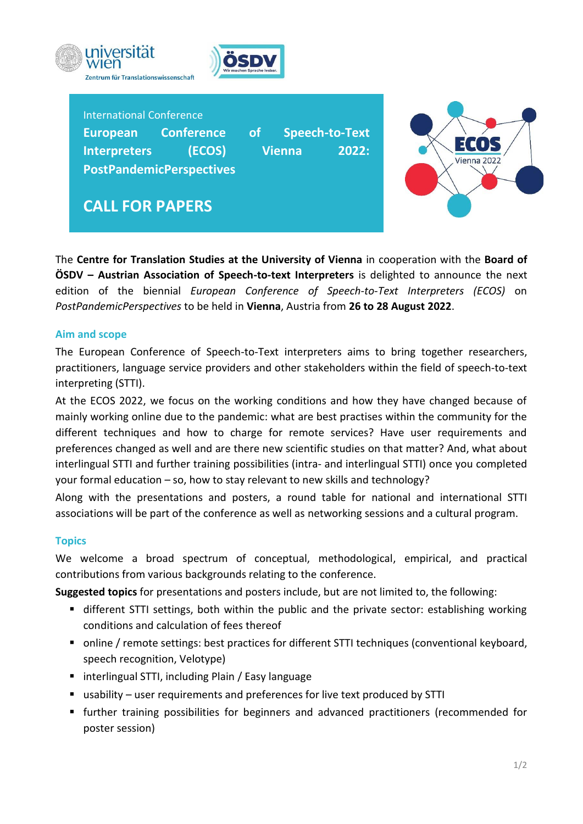



International Conference **European Conference of Speech-to-Text Interpreters (ECOS) Vienna 2022: PostPandemicPerspectives**



**CALL FOR PAPERS**

The **Centre for Translation Studies at the University of Vienna** in cooperation with the **Board of ÖSDV – Austrian Association of Speech-to-text Interpreters** is delighted to announce the next edition of the biennial *European Conference of Speech-to-Text Interpreters (ECOS)* on *PostPandemicPerspectives* to be held in **Vienna**, Austria from **26 to 28 August 2022**.

## **Aim and scope**

The European Conference of Speech-to-Text interpreters aims to bring together researchers, practitioners, language service providers and other stakeholders within the field of speech-to-text interpreting (STTI).

At the ECOS 2022, we focus on the working conditions and how they have changed because of mainly working online due to the pandemic: what are best practises within the community for the different techniques and how to charge for remote services? Have user requirements and preferences changed as well and are there new scientific studies on that matter? And, what about interlingual STTI and further training possibilities (intra- and interlingual STTI) once you completed your formal education – so, how to stay relevant to new skills and technology?

Along with the presentations and posters, a round table for national and international STTI associations will be part of the conference as well as networking sessions and a cultural program.

#### **Topics**

We welcome a broad spectrum of conceptual, methodological, empirical, and practical contributions from various backgrounds relating to the conference.

**Suggested topics** for presentations and posters include, but are not limited to, the following:

- different STTI settings, both within the public and the private sector: establishing working conditions and calculation of fees thereof
- online / remote settings: best practices for different STTI techniques (conventional keyboard, speech recognition, Velotype)
- interlingual STTI, including Plain / Easy language
- usability user requirements and preferences for live text produced by STTI
- **E** further training possibilities for beginners and advanced practitioners (recommended for poster session)